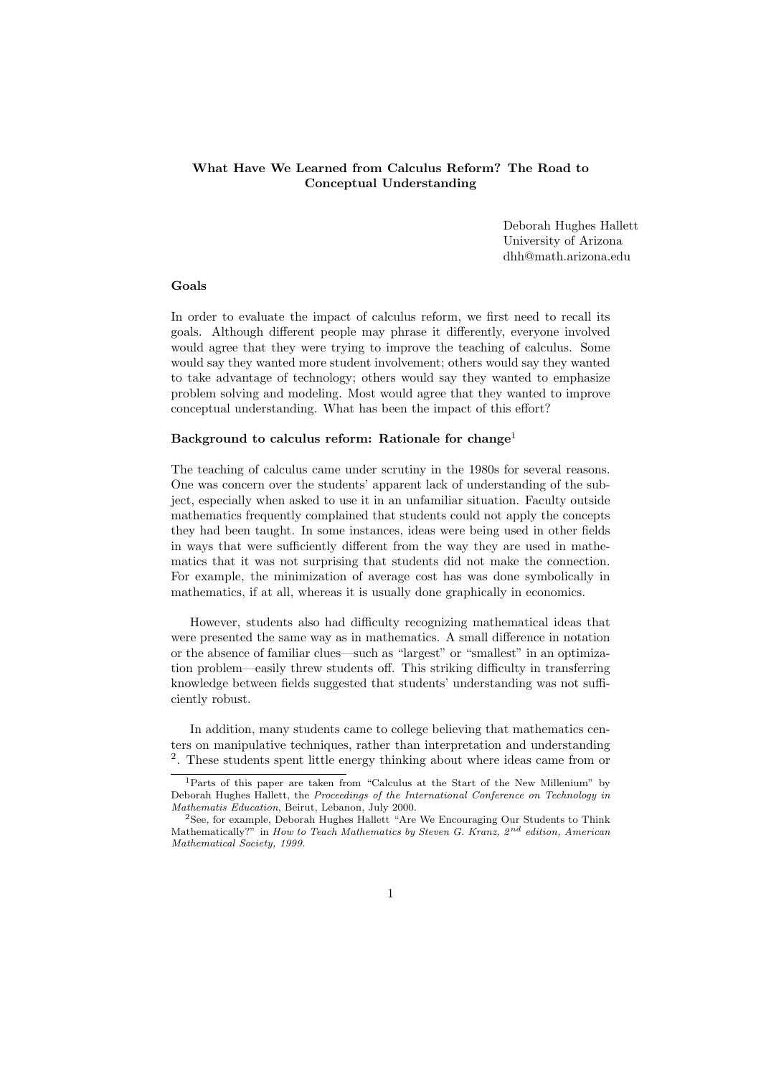# What Have We Learned from Calculus Reform? The Road to Conceptual Understanding

Deborah Hughes Hallett University of Arizona dhh@math.arizona.edu

#### Goals

In order to evaluate the impact of calculus reform, we first need to recall its goals. Although different people may phrase it differently, everyone involved would agree that they were trying to improve the teaching of calculus. Some would say they wanted more student involvement; others would say they wanted to take advantage of technology; others would say they wanted to emphasize problem solving and modeling. Most would agree that they wanted to improve conceptual understanding. What has been the impact of this effort?

### Background to calculus reform: Rationale for change<sup>1</sup>

The teaching of calculus came under scrutiny in the 1980s for several reasons. One was concern over the students' apparent lack of understanding of the subject, especially when asked to use it in an unfamiliar situation. Faculty outside mathematics frequently complained that students could not apply the concepts they had been taught. In some instances, ideas were being used in other fields in ways that were sufficiently different from the way they are used in mathematics that it was not surprising that students did not make the connection. For example, the minimization of average cost has was done symbolically in mathematics, if at all, whereas it is usually done graphically in economics.

However, students also had difficulty recognizing mathematical ideas that were presented the same way as in mathematics. A small difference in notation or the absence of familiar clues—such as "largest" or "smallest" in an optimization problem—easily threw students off. This striking difficulty in transferring knowledge between fields suggested that students' understanding was not sufficiently robust.

In addition, many students came to college believing that mathematics centers on manipulative techniques, rather than interpretation and understanding 2 . These students spent little energy thinking about where ideas came from or

<sup>1</sup>Parts of this paper are taken from "Calculus at the Start of the New Millenium" by Deborah Hughes Hallett, the *Proceedings of the International Conference on Technology in* Mathematis Education, Beirut, Lebanon, July 2000.

<sup>2</sup>See, for example, Deborah Hughes Hallett "Are We Encouraging Our Students to Think Mathematically?" in How to Teach Mathematics by Steven G. Kranz, 2<sup>nd</sup> edition, American Mathematical Society, 1999.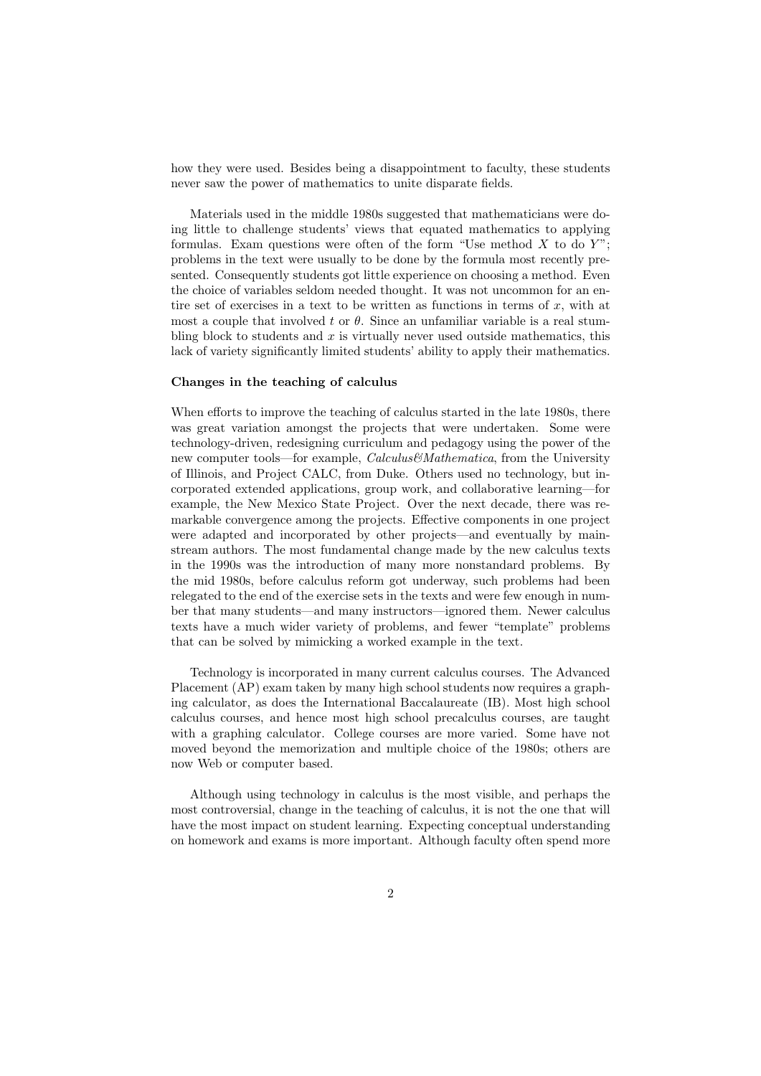how they were used. Besides being a disappointment to faculty, these students never saw the power of mathematics to unite disparate fields.

Materials used in the middle 1980s suggested that mathematicians were doing little to challenge students' views that equated mathematics to applying formulas. Exam questions were often of the form "Use method  $X$  to do  $Y$ "; problems in the text were usually to be done by the formula most recently presented. Consequently students got little experience on choosing a method. Even the choice of variables seldom needed thought. It was not uncommon for an entire set of exercises in a text to be written as functions in terms of x, with at most a couple that involved t or  $\theta$ . Since an unfamiliar variable is a real stumbling block to students and  $x$  is virtually never used outside mathematics, this lack of variety significantly limited students' ability to apply their mathematics.

#### Changes in the teaching of calculus

When efforts to improve the teaching of calculus started in the late 1980s, there was great variation amongst the projects that were undertaken. Some were technology-driven, redesigning curriculum and pedagogy using the power of the new computer tools—for example, *Calculus*&*Mathematica*, from the University of Illinois, and Project CALC, from Duke. Others used no technology, but incorporated extended applications, group work, and collaborative learning—for example, the New Mexico State Project. Over the next decade, there was remarkable convergence among the projects. Effective components in one project were adapted and incorporated by other projects—and eventually by mainstream authors. The most fundamental change made by the new calculus texts in the 1990s was the introduction of many more nonstandard problems. By the mid 1980s, before calculus reform got underway, such problems had been relegated to the end of the exercise sets in the texts and were few enough in number that many students—and many instructors—ignored them. Newer calculus texts have a much wider variety of problems, and fewer "template" problems that can be solved by mimicking a worked example in the text.

Technology is incorporated in many current calculus courses. The Advanced Placement (AP) exam taken by many high school students now requires a graphing calculator, as does the International Baccalaureate (IB). Most high school calculus courses, and hence most high school precalculus courses, are taught with a graphing calculator. College courses are more varied. Some have not moved beyond the memorization and multiple choice of the 1980s; others are now Web or computer based.

Although using technology in calculus is the most visible, and perhaps the most controversial, change in the teaching of calculus, it is not the one that will have the most impact on student learning. Expecting conceptual understanding on homework and exams is more important. Although faculty often spend more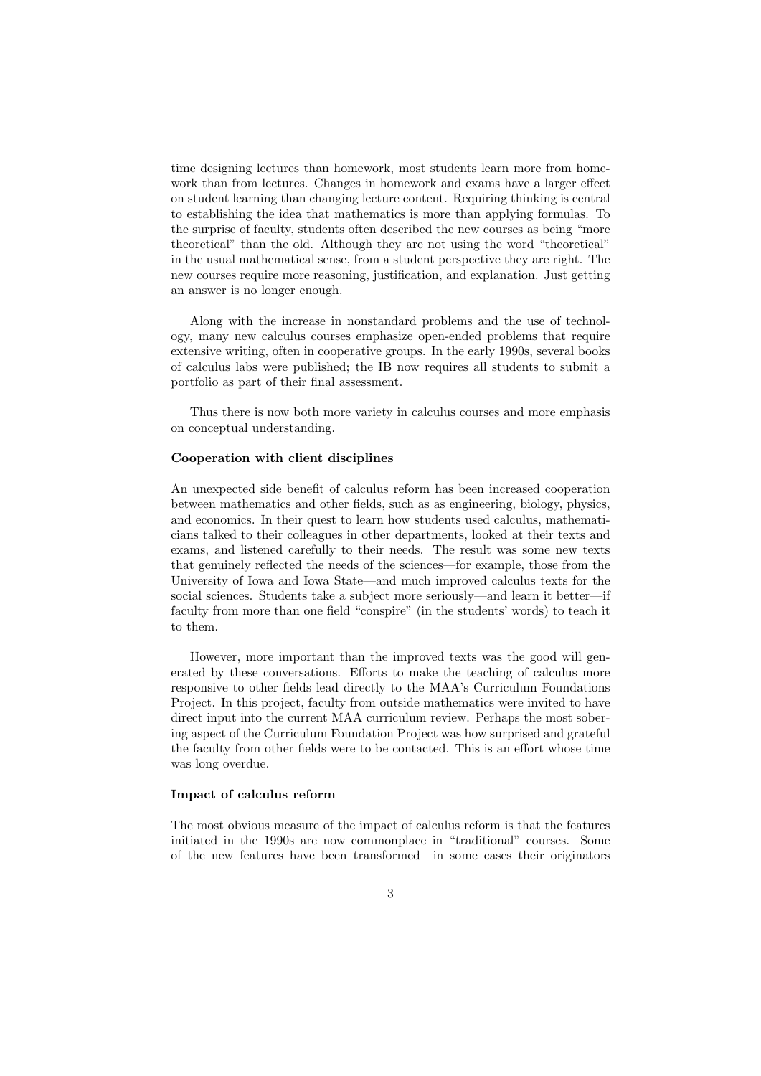time designing lectures than homework, most students learn more from homework than from lectures. Changes in homework and exams have a larger effect on student learning than changing lecture content. Requiring thinking is central to establishing the idea that mathematics is more than applying formulas. To the surprise of faculty, students often described the new courses as being "more theoretical" than the old. Although they are not using the word "theoretical" in the usual mathematical sense, from a student perspective they are right. The new courses require more reasoning, justification, and explanation. Just getting an answer is no longer enough.

Along with the increase in nonstandard problems and the use of technology, many new calculus courses emphasize open-ended problems that require extensive writing, often in cooperative groups. In the early 1990s, several books of calculus labs were published; the IB now requires all students to submit a portfolio as part of their final assessment.

Thus there is now both more variety in calculus courses and more emphasis on conceptual understanding.

#### Cooperation with client disciplines

An unexpected side benefit of calculus reform has been increased cooperation between mathematics and other fields, such as as engineering, biology, physics, and economics. In their quest to learn how students used calculus, mathematicians talked to their colleagues in other departments, looked at their texts and exams, and listened carefully to their needs. The result was some new texts that genuinely reflected the needs of the sciences—for example, those from the University of Iowa and Iowa State—and much improved calculus texts for the social sciences. Students take a subject more seriously—and learn it better—if faculty from more than one field "conspire" (in the students' words) to teach it to them.

However, more important than the improved texts was the good will generated by these conversations. Efforts to make the teaching of calculus more responsive to other fields lead directly to the MAA's Curriculum Foundations Project. In this project, faculty from outside mathematics were invited to have direct input into the current MAA curriculum review. Perhaps the most sobering aspect of the Curriculum Foundation Project was how surprised and grateful the faculty from other fields were to be contacted. This is an effort whose time was long overdue.

#### Impact of calculus reform

The most obvious measure of the impact of calculus reform is that the features initiated in the 1990s are now commonplace in "traditional" courses. Some of the new features have been transformed—in some cases their originators